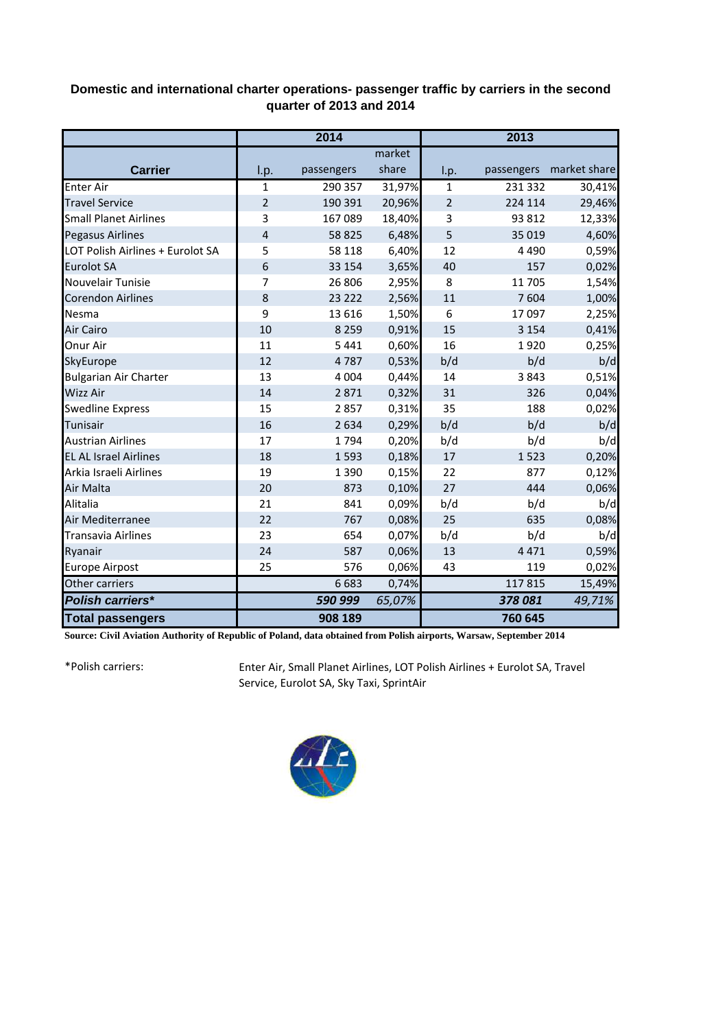## **Domestic and international charter operations- passenger traffic by carriers in the second quarter of 2013 and 2014**

|                                  | 2014           |            |        | 2013           |            |              |
|----------------------------------|----------------|------------|--------|----------------|------------|--------------|
|                                  |                |            | market |                |            |              |
| <b>Carrier</b>                   | I.p.           | passengers | share  | I.p.           | passengers | market share |
| <b>Enter Air</b>                 | $\mathbf{1}$   | 290 357    | 31,97% | $\mathbf{1}$   | 231 332    | 30,41%       |
| <b>Travel Service</b>            | $\overline{2}$ | 190 391    | 20,96% | $\overline{2}$ | 224 114    | 29,46%       |
| <b>Small Planet Airlines</b>     | 3              | 167 089    | 18,40% | 3              | 93 812     | 12,33%       |
| Pegasus Airlines                 | $\overline{4}$ | 58 825     | 6,48%  | 5              | 35 019     | 4,60%        |
| LOT Polish Airlines + Eurolot SA | 5              | 58 118     | 6,40%  | 12             | 4 4 9 0    | 0,59%        |
| <b>Eurolot SA</b>                | 6              | 33 154     | 3,65%  | 40             | 157        | 0,02%        |
| Nouvelair Tunisie                | 7              | 26 806     | 2,95%  | 8              | 11 705     | 1,54%        |
| <b>Corendon Airlines</b>         | 8              | 23 2 22    | 2,56%  | 11             | 7604       | 1,00%        |
| Nesma                            | 9              | 13 6 16    | 1,50%  | 6              | 17 097     | 2,25%        |
| Air Cairo                        | 10             | 8 2 5 9    | 0,91%  | 15             | 3 1 5 4    | 0,41%        |
| Onur Air                         | 11             | 5 4 4 1    | 0,60%  | 16             | 1920       | 0,25%        |
| SkyEurope                        | 12             | 4787       | 0,53%  | b/d            | b/d        | b/d          |
| <b>Bulgarian Air Charter</b>     | 13             | 4 0 0 4    | 0,44%  | 14             | 3843       | 0,51%        |
| Wizz Air                         | 14             | 2871       | 0,32%  | 31             | 326        | 0,04%        |
| <b>Swedline Express</b>          | 15             | 2857       | 0,31%  | 35             | 188        | 0,02%        |
| Tunisair                         | 16             | 2634       | 0,29%  | b/d            | b/d        | b/d          |
| <b>Austrian Airlines</b>         | 17             | 1794       | 0,20%  | b/d            | b/d        | b/d          |
| <b>EL AL Israel Airlines</b>     | 18             | 1593       | 0,18%  | 17             | 1523       | 0,20%        |
| Arkia Israeli Airlines           | 19             | 1 3 9 0    | 0,15%  | 22             | 877        | 0,12%        |
| Air Malta                        | 20             | 873        | 0,10%  | 27             | 444        | 0,06%        |
| Alitalia                         | 21             | 841        | 0,09%  | b/d            | b/d        | b/d          |
| Air Mediterranee                 | 22             | 767        | 0,08%  | 25             | 635        | 0,08%        |
| <b>Transavia Airlines</b>        | 23             | 654        | 0,07%  | b/d            | b/d        | b/d          |
| Ryanair                          | 24             | 587        | 0,06%  | 13             | 4471       | 0,59%        |
| Europe Airpost                   | 25             | 576        | 0,06%  | 43             | 119        | 0,02%        |
| Other carriers                   |                | 6683       | 0,74%  |                | 117815     | 15,49%       |
| <b>Polish carriers*</b>          |                | 590 999    | 65,07% |                | 378081     | 49,71%       |
| <b>Total passengers</b>          |                | 908 189    |        |                | 760 645    |              |

**Source: Civil Aviation Authority of Republic of Poland, data obtained from Polish airports, Warsaw, September 2014**

\*Polish carriers:

Enter Air, Small Planet Airlines, LOT Polish Airlines + Eurolot SA, Travel Service, Eurolot SA, Sky Taxi, SprintAir